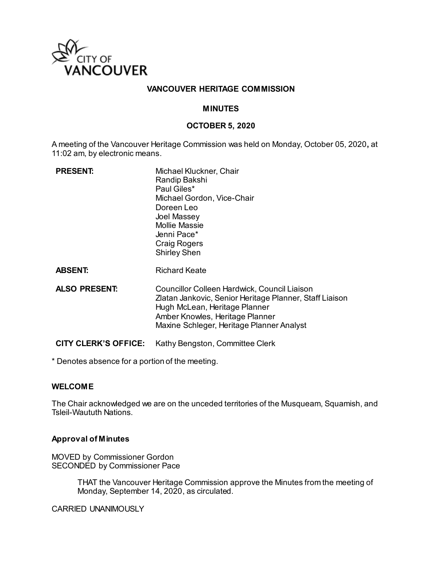

### **VANCOUVER HERITAGE COMMISSION**

#### **MINUTES**

#### **OCTOBER 5, 2020**

A meeting of the Vancouver Heritage Commission was held on Monday, October 05, 2020**,** at 11:02 am, by electronic means.

| <b>PRESENT:</b>             | Michael Kluckner, Chair<br>Randip Bakshi<br>Paul Giles*<br>Michael Gordon, Vice-Chair<br>Doreen Leo<br>Joel Massey<br><b>Mollie Massie</b><br>Jenni Pace*<br><b>Craig Rogers</b><br><b>Shirley Shen</b>                  |
|-----------------------------|--------------------------------------------------------------------------------------------------------------------------------------------------------------------------------------------------------------------------|
| <b>ABSENT:</b>              | <b>Richard Keate</b>                                                                                                                                                                                                     |
| <b>ALSO PRESENT:</b>        | Councillor Colleen Hardwick, Council Liaison<br>Zlatan Jankovic, Senior Heritage Planner, Staff Liaison<br>Hugh McLean, Heritage Planner<br>Amber Knowles, Heritage Planner<br>Maxine Schleger, Heritage Planner Analyst |
| <b>CITY CLERK'S OFFICE:</b> | Kathy Bengston, Committee Clerk                                                                                                                                                                                          |

\* Denotes absence for a portion of the meeting.

#### **WELCOME**

The Chair acknowledged we are on the unceded territories of the Musqueam, Squamish, and Tsleil-Waututh Nations.

#### **Approval of Minutes**

MOVED by Commissioner Gordon SECONDED by Commissioner Pace

> THAT the Vancouver Heritage Commission approve the Minutes from the meeting of Monday, September 14, 2020, as circulated.

CARRIED UNANIMOUSLY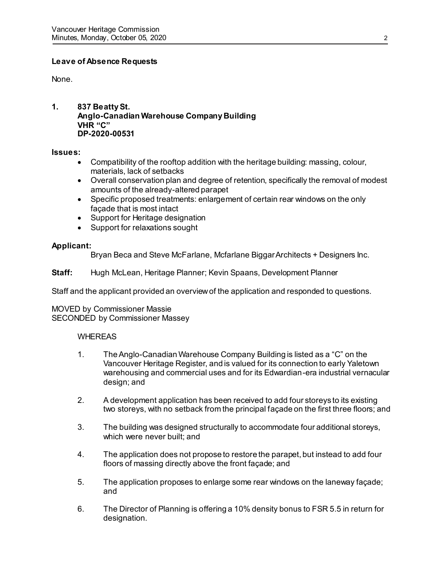# **Leave of Absence Requests**

None.

**1. 837 Beatty St. Anglo-Canadian Warehouse Company Building VHR "C" DP-2020-00531**

#### **Issues:**

- Compatibility of the rooftop addition with the heritage building: massing, colour, materials, lack of setbacks
- Overall conservation plan and degree of retention, specifically the removal of modest amounts of the already-altered parapet
- Specific proposed treatments: enlargement of certain rear windows on the only façade that is most intact
- Support for Heritage designation
- Support for relaxations sought

# **Applicant:**

Bryan Beca and Steve McFarlane, Mcfarlane Biggar Architects + Designers Inc.

**Staff:** Hugh McLean, Heritage Planner; Kevin Spaans, Development Planner

Staff and the applicant provided an overview of the application and responded to questions.

MOVED by Commissioner Massie SECONDED by Commissioner Massey

# WHEREAS

- 1. The Anglo-Canadian Warehouse Company Building is listed as a "C" on the Vancouver Heritage Register, and is valued for its connection to early Yaletown warehousing and commercial uses and for its Edwardian-era industrial vernacular design; and
- 2. A development application has been received to add four storeys to its existing two storeys, with no setback from the principal façade on the first three floors; and
- 3. The building was designed structurally to accommodate four additional storeys, which were never built; and
- 4. The application does not propose to restore the parapet, but instead to add four floors of massing directly above the front façade; and
- 5. The application proposes to enlarge some rear windows on the laneway façade; and
- 6. The Director of Planning is offering a 10% density bonus to FSR 5.5 in return for designation.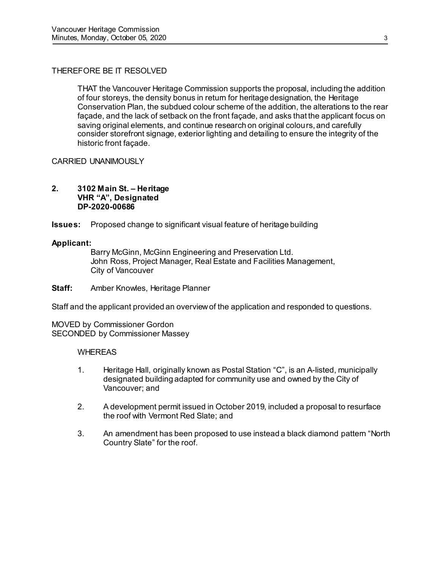# THEREFORE BE IT RESOLVED

THAT the Vancouver Heritage Commission supports the proposal, including the addition of four storeys, the density bonus in return for heritage designation, the Heritage Conservation Plan, the subdued colour scheme of the addition, the alterations to the rear façade, and the lack of setback on the front façade, and asks that the applicant focus on saving original elements, and continue research on original colours, and carefully consider storefront signage, exterior lighting and detailing to ensure the integrity of the historic front façade.

CARRIED UNANIMOUSLY

#### **2. 3102 Main St. – Heritage VHR "A", Designated DP-2020-00686**

**Issues:** Proposed change to significant visual feature of heritage building

#### **Applicant:**

Barry McGinn, McGinn Engineering and Preservation Ltd. John Ross, Project Manager, Real Estate and Facilities Management, City of Vancouver

**Staff:** Amber Knowles, Heritage Planner

Staff and the applicant provided an overview of the application and responded to questions.

MOVED by Commissioner Gordon SECONDED by Commissioner Massey

# WHEREAS

- 1. Heritage Hall, originally known as Postal Station "C", is an A-listed, municipally designated building adapted for community use and owned by the City of Vancouver; and
- 2. A development permit issued in October 2019, included a proposal to resurface the roof with Vermont Red Slate; and
- 3. An amendment has been proposed to use instead a black diamond pattern "North Country Slate" for the roof.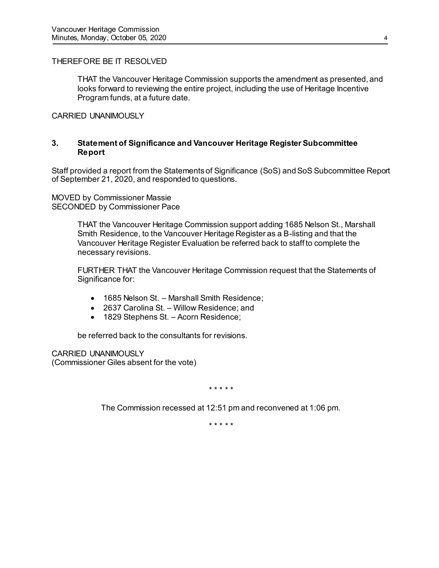# THEREFORE BE IT RESOLVED

THAT the Vancouver Heritage Commission supports the amendment as presented, and looks forward to reviewing the entire project, including the use of Heritage Incentive Program funds, at a future date.

#### CARRIED UNANIMOUSLY

#### **3. Statement of Significance and Vancouver Heritage Register Subcommittee Report**

Staff provided a report from the Statements of Significance (SoS) and SoS Subcommittee Report of September 21, 2020, and responded to questions.

MOVED by Commissioner Massie SECONDED by Commissioner Pace

> THAT the Vancouver Heritage Commission support adding 1685 Nelson St., Marshall Smith Residence, to the Vancouver Heritage Register as a B-listing and that the Vancouver Heritage Register Evaluation be referred back to staff to complete the necessary revisions.

> FURTHER THAT the Vancouver Heritage Commission request that the Statements of Significance for:

- 1685 Nelson St. Marshall Smith Residence;
- 2637 Carolina St. Willow Residence; and
- 1829 Stephens St. Acorn Residence;

be referred back to the consultants for revisions.

CARRIED UNANIMOUSLY (Commissioner Giles absent for the vote)

\* \* \* \* \*

The Commission recessed at 12:51 pm and reconvened at 1:06 pm.

\* \* \* \* \*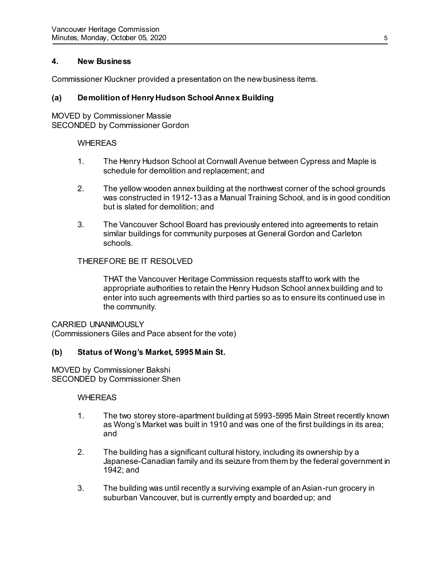# **4. New Business**

Commissioner Kluckner provided a presentation on the new business items.

# **(a) Demolition of Henry Hudson School Annex Building**

MOVED by Commissioner Massie SECONDED by Commissioner Gordon

#### WHEREAS

- 1. The Henry Hudson School at Cornwall Avenue between Cypress and Maple is schedule for demolition and replacement; and
- 2. The yellow wooden annex building at the northwest corner of the school grounds was constructed in 1912-13 as a Manual Training School, and is in good condition but is slated for demolition; and
- 3. The Vancouver School Board has previously entered into agreements to retain similar buildings for community purposes at General Gordon and Carleton schools.

#### THEREFORE BE IT RESOLVED

THAT the Vancouver Heritage Commission requests staff to work with the appropriate authorities to retain the Henry Hudson School annex building and to enter into such agreements with third parties so as to ensure its continued use in the community.

#### CARRIED UNANIMOUSLY

(Commissioners Giles and Pace absent for the vote)

# **(b) Status of Wong's Market, 5995 Main St.**

MOVED by Commissioner Bakshi SECONDED by Commissioner Shen

#### WHEREAS

- 1. The two storey store-apartment building at 5993-5995 Main Street recently known as Wong's Market was built in 1910 and was one of the first buildings in its area; and
- 2. The building has a significant cultural history, including its ownership by a Japanese-Canadian family and its seizure from them by the federal government in 1942; and
- 3. The building was until recently a surviving example of an Asian-run grocery in suburban Vancouver, but is currently empty and boarded up; and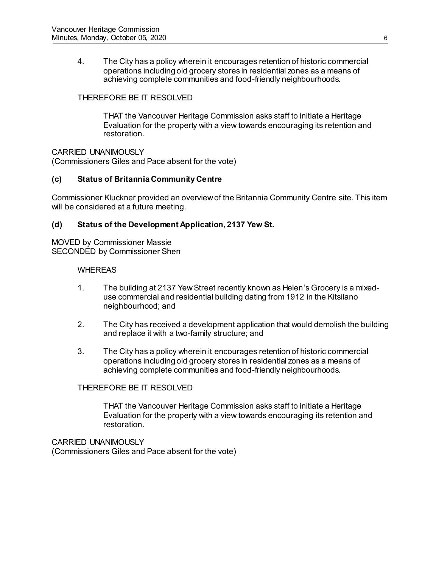4. The City has a policy wherein it encourages retention of historic commercial operations including old grocery stores in residential zones as a means of achieving complete communities and food-friendly neighbourhoods.

# THEREFORE BE IT RESOLVED

THAT the Vancouver Heritage Commission asks staff to initiate a Heritage Evaluation for the property with a view towards encouraging its retention and restoration.

CARRIED UNANIMOUSLY (Commissioners Giles and Pace absent for the vote)

# **(c) Status of Britannia Community Centre**

Commissioner Kluckner provided an overview of the Britannia Community Centre site. This item will be considered at a future meeting.

# **(d) Status of the Development Application, 2137 Yew St.**

MOVED by Commissioner Massie SECONDED by Commissioner Shen

#### WHEREAS

- 1. The building at 2137 Yew Street recently known as Helen's Grocery is a mixeduse commercial and residential building dating from 1912 in the Kitsilano neighbourhood; and
- 2. The City has received a development application that would demolish the building and replace it with a two-family structure; and
- 3. The City has a policy wherein it encourages retention of historic commercial operations including old grocery stores in residential zones as a means of achieving complete communities and food-friendly neighbourhoods.

# THEREFORE BE IT RESOLVED

THAT the Vancouver Heritage Commission asks staff to initiate a Heritage Evaluation for the property with a view towards encouraging its retention and restoration.

CARRIED UNANIMOUSLY (Commissioners Giles and Pace absent for the vote)